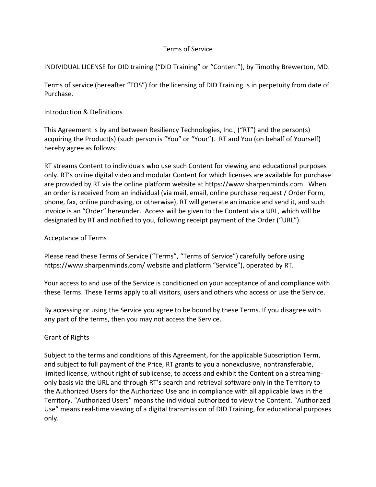## Terms of Service

INDIVIDUAL LICENSE for DID training ("DID Training" or "Content"), by Timothy Brewerton, MD.

Terms of service (hereafter "TOS") for the licensing of DID Training is in perpetuity from date of Purchase.

# Introduction & Definitions

This Agreement is by and between Resiliency Technologies, Inc., ("RT") and the person(s) acquiring the Product(s) (such person is "You" or "Your"). RT and You (on behalf of Yourself) hereby agree as follows:

RT streams Content to individuals who use such Content for viewing and educational purposes only. RT's online digital video and modular Content for which licenses are available for purchase are provided by RT via the online platform website at https://www.sharpenminds.com. When an order is received from an individual (via mail, email, online purchase request / Order Form, phone, fax, online purchasing, or otherwise), RT will generate an invoice and send it, and such invoice is an "Order" hereunder. Access will be given to the Content via a URL, which will be designated by RT and notified to you, following receipt payment of the Order ("URL").

# Acceptance of Terms

Please read these Terms of Service ("Terms", "Terms of Service") carefully before using https://www.sharpenminds.com/ website and platform "Service"), operated by RT.

Your access to and use of the Service is conditioned on your acceptance of and compliance with these Terms. These Terms apply to all visitors, users and others who access or use the Service.

By accessing or using the Service you agree to be bound by these Terms. If you disagree with any part of the terms, then you may not access the Service.

# Grant of Rights

Subject to the terms and conditions of this Agreement, for the applicable Subscription Term, and subject to full payment of the Price, RT grants to you a nonexclusive, nontransferable, limited license, without right of sublicense, to access and exhibit the Content on a streamingonly basis via the URL and through RT's search and retrieval software only in the Territory to the Authorized Users for the Authorized Use and in compliance with all applicable laws in the Territory. "Authorized Users" means the individual authorized to view the Content. "Authorized Use" means real-time viewing of a digital transmission of DID Training, for educational purposes only.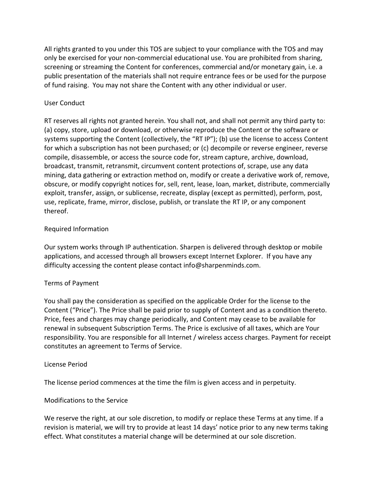All rights granted to you under this TOS are subject to your compliance with the TOS and may only be exercised for your non-commercial educational use. You are prohibited from sharing, screening or streaming the Content for conferences, commercial and/or monetary gain, i.e. a public presentation of the materials shall not require entrance fees or be used for the purpose of fund raising. You may not share the Content with any other individual or user.

## User Conduct

RT reserves all rights not granted herein. You shall not, and shall not permit any third party to: (a) copy, store, upload or download, or otherwise reproduce the Content or the software or systems supporting the Content (collectively, the "RT IP"); (b) use the license to access Content for which a subscription has not been purchased; or (c) decompile or reverse engineer, reverse compile, disassemble, or access the source code for, stream capture, archive, download, broadcast, transmit, retransmit, circumvent content protections of, scrape, use any data mining, data gathering or extraction method on, modify or create a derivative work of, remove, obscure, or modify copyright notices for, sell, rent, lease, loan, market, distribute, commercially exploit, transfer, assign, or sublicense, recreate, display (except as permitted), perform, post, use, replicate, frame, mirror, disclose, publish, or translate the RT IP, or any component thereof.

## Required Information

Our system works through IP authentication. Sharpen is delivered through desktop or mobile applications, and accessed through all browsers except Internet Explorer. If you have any difficulty accessing the content please contact info@sharpenminds.com.

### Terms of Payment

You shall pay the consideration as specified on the applicable Order for the license to the Content ("Price"). The Price shall be paid prior to supply of Content and as a condition thereto. Price, fees and charges may change periodically, and Content may cease to be available for renewal in subsequent Subscription Terms. The Price is exclusive of all taxes, which are Your responsibility. You are responsible for all Internet / wireless access charges. Payment for receipt constitutes an agreement to Terms of Service.

### License Period

The license period commences at the time the film is given access and in perpetuity.

### Modifications to the Service

We reserve the right, at our sole discretion, to modify or replace these Terms at any time. If a revision is material, we will try to provide at least 14 days' notice prior to any new terms taking effect. What constitutes a material change will be determined at our sole discretion.